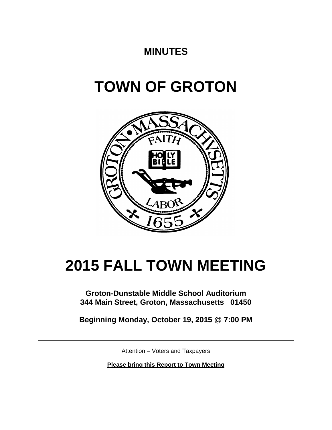## **MINUTES**

# **TOWN OF GROTON**



# **2015 FALL TOWN MEETING**

**Groton-Dunstable Middle School Auditorium 344 Main Street, Groton, Massachusetts 01450**

**Beginning Monday, October 19, 2015 @ 7:00 PM**

Attention – Voters and Taxpayers

**Please bring this Report to Town Meeting**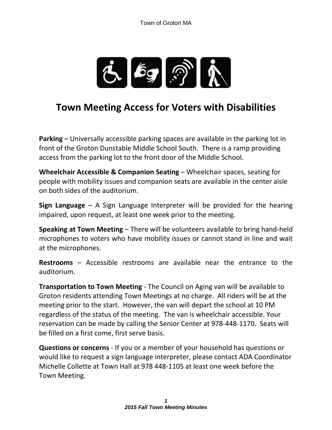

## **Town Meeting Access for Voters with Disabilities**

**Parking** – Universally accessible parking spaces are available in the parking lot in front of the Groton Dunstable Middle School South. There is a ramp providing access from the parking lot to the front door of the Middle School.

**Wheelchair Accessible & Companion Seating** – Wheelchair spaces, seating for people with mobility issues and companion seats are available in the center aisle on both sides of the auditorium.

**Sign Language** – A Sign Language Interpreter will be provided for the hearing impaired, upon request, at least one week prior to the meeting.

**Speaking at Town Meeting** – There will be volunteers available to bring hand-held microphones to voters who have mobility issues or cannot stand in line and wait at the microphones.

**Restrooms** – Accessible restrooms are available near the entrance to the auditorium.

**Transportation to Town Meeting** - The Council on Aging van will be available to Groton residents attending Town Meetings at no charge. All riders will be at the meeting prior to the start. However, the van will depart the school at 10 PM regardless of the status of the meeting. The van is wheelchair accessible. Your reservation can be made by calling the Senior Center at 978-448-1170. Seats will be filled on a first come, first serve basis.

**Questions or concerns** - If you or a member of your household has questions or would like to request a sign language interpreter, please contact ADA Coordinator Michelle Collette at Town Hall at 978 448-1105 at least one week before the Town Meeting.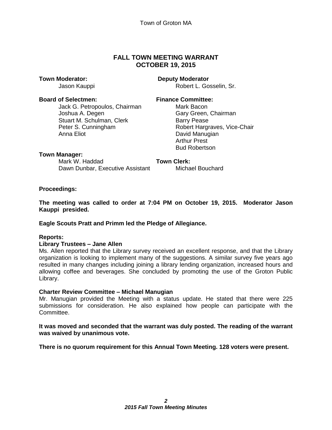#### **FALL TOWN MEETING WARRANT OCTOBER 19, 2015**

#### **Board of Selectmen: Finance Committee:**

Jack G. Petropoulos, Chairman Mark Bacon Joshua A. Degen Gary Green, Chairman Stuart M. Schulman, Clerk Barry Pease Peter S. Cunningham Robert Hargraves, Vice-Chair Anna Eliot **David Manugian** 

#### **Town Moderator: Deputy Moderator**

Jason Kauppi **Robert L. Gosselin, Sr.** Robert L. Gosselin, Sr.

Arthur Prest Bud Robertson

#### **Town Manager:**

Mark W. Haddad **Town Clerk:** Dawn Dunbar, Executive Assistant Michael Bouchard

#### **Proceedings:**

**The meeting was called to order at 7:04 PM on October 19, 2015. Moderator Jason Kauppi presided.**

#### **Eagle Scouts Pratt and Primm led the Pledge of Allegiance.**

#### **Reports:**

#### **Library Trustees – Jane Allen**

Ms. Allen reported that the Library survey received an excellent response, and that the Library organization is looking to implement many of the suggestions. A similar survey five years ago resulted in many changes including joining a library lending organization, increased hours and allowing coffee and beverages. She concluded by promoting the use of the Groton Public Library.

#### **Charter Review Committee – Michael Manugian**

Mr. Manugian provided the Meeting with a status update. He stated that there were 225 submissions for consideration. He also explained how people can participate with the Committee.

#### **It was moved and seconded that the warrant was duly posted. The reading of the warrant was waived by unanimous vote.**

**There is no quorum requirement for this Annual Town Meeting. 128 voters were present.**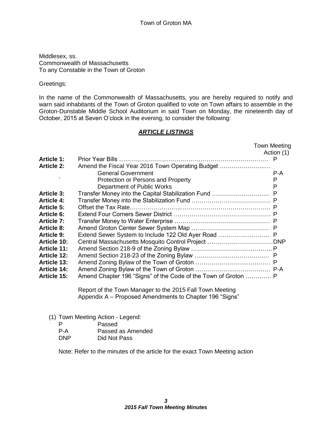Middlesex, ss. Commonwealth of Massachusetts To any Constable in the Town of Groton

Greetings:

In the name of the Commonwealth of Massachusetts, you are hereby required to notify and warn said inhabitants of the Town of Groton qualified to vote on Town affairs to assemble in the Groton-Dunstable Middle School Auditorium in said Town on Monday, the nineteenth day of October, 2015 at Seven O'clock in the evening, to consider the following:

#### *ARTICLE LISTINGS*

|                    |                                                                | <b>Town Meeting</b> |
|--------------------|----------------------------------------------------------------|---------------------|
|                    |                                                                | Action (1)          |
| <b>Article 1:</b>  |                                                                |                     |
| <b>Article 2:</b>  | Amend the Fiscal Year 2016 Town Operating Budget               |                     |
|                    | <b>General Government</b>                                      | P-A                 |
|                    | Protection or Persons and Property                             | P                   |
|                    | Department of Public Works                                     | P                   |
| <b>Article 3:</b>  |                                                                |                     |
| <b>Article 4:</b>  |                                                                |                     |
| <b>Article 5:</b>  | Offset the Tax Rate.                                           |                     |
| <b>Article 6:</b>  |                                                                |                     |
| <b>Article 7:</b>  |                                                                |                     |
| <b>Article 8:</b>  |                                                                |                     |
| Article 9:         | Extend Sewer System to Include 122 Old Ayer Road  P            |                     |
| Article 10:        |                                                                |                     |
| Article 11:        |                                                                |                     |
| <b>Article 12:</b> |                                                                |                     |
| <b>Article 13:</b> |                                                                |                     |
| <b>Article 14:</b> |                                                                |                     |
| <b>Article 15:</b> | Amend Chapter 196 "Signs" of the Code of the Town of Groton  P |                     |
|                    | Report of the Town Manager to the 2015 Fall Town Meeting       |                     |

Appendix A – Proposed Amendments to Chapter 196 "Signs"

- (1) Town Meeting Action Legend:
	- P Passed
	- P-A Passed as Amended
	- DNP Did Not Pass

Note: Refer to the minutes of the article for the exact Town Meeting action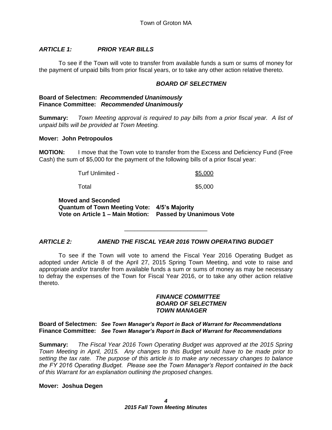#### *ARTICLE 1: PRIOR YEAR BILLS*

To see if the Town will vote to transfer from available funds a sum or sums of money for the payment of unpaid bills from prior fiscal years, or to take any other action relative thereto.

#### *BOARD OF SELECTMEN*

#### **Board of Selectmen:** *Recommended Unanimously* **Finance Committee:** *Recommended Unanimously*

**Summary:** *Town Meeting approval is required to pay bills from a prior fiscal year. A list of unpaid bills will be provided at Town Meeting.*

#### **Mover: John Petropoulos**

**MOTION:** I move that the Town vote to transfer from the Excess and Deficiency Fund (Free Cash) the sum of \$5,000 for the payment of the following bills of a prior fiscal year:

Turf Unlimited - \$5,000

Total **\$5,000** 

**Moved and Seconded Quantum of Town Meeting Vote: 4/5's Majority Vote on Article 1 – Main Motion: Passed by Unanimous Vote**

#### *ARTICLE 2: AMEND THE FISCAL YEAR 2016 TOWN OPERATING BUDGET*

To see if the Town will vote to amend the Fiscal Year 2016 Operating Budget as adopted under Article 8 of the April 27, 2015 Spring Town Meeting, and vote to raise and appropriate and/or transfer from available funds a sum or sums of money as may be necessary to defray the expenses of the Town for Fiscal Year 2016, or to take any other action relative thereto.

\_\_\_\_\_\_\_\_\_\_\_\_\_\_\_\_\_\_\_\_\_\_\_\_\_

#### *FINANCE COMMITTEE BOARD OF SELECTMEN TOWN MANAGER*

#### **Board of Selectmen:** *See Town Manager's Report in Back of Warrant for Recommendations* **Finance Committee:** *See Town Manager's Report in Back of Warrant for Recommendations*

**Summary:** *The Fiscal Year 2016 Town Operating Budget was approved at the 2015 Spring Town Meeting in April, 2015. Any changes to this Budget would have to be made prior to setting the tax rate. The purpose of this article is to make any necessary changes to balance the FY 2016 Operating Budget. Please see the Town Manager's Report contained in the back of this Warrant for an explanation outlining the proposed changes.*

#### **Mover: Joshua Degen**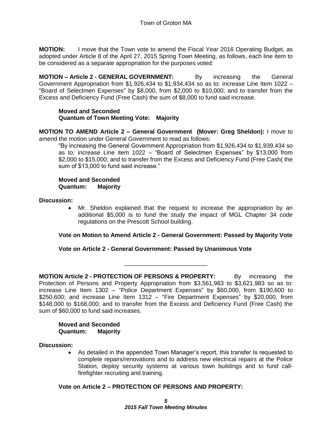**MOTION:** I move that the Town vote to amend the Fiscal Year 2016 Operating Budget, as adopted under Article 8 of the April 27, 2015 Spring Town Meeting, as follows, each line item to be considered as a separate appropriation for the purposes voted:

**MOTION – Article 2 - GENERAL GOVERNMENT:** By increasing the General Government Appropriation from \$1,926,434 to \$1,934,434 so as to: increase Line Item 1022 – "Board of Selectmen Expenses" by \$8,000, from \$2,000 to \$10,000; and to transfer from the Excess and Deficiency Fund (Free Cash) the sum of \$8,000 to fund said increase.

#### **Moved and Seconded Quantum of Town Meeting Vote: Majority**

**MOTION TO AMEND Article 2 – General Government (Mover: Greg Sheldon):** I move to amend the motion under General Government to read as follows:

"By increasing the General Government Appropriation from \$1,926,434 to \$1,939,434 so as to: increase Line item 1022 – "Board of Selectmen Expenses" by \$13,000 from \$2,000 to \$15,000; and to transfer from the Excess and Deficiency Fund (Free Cash( the sum of \$13,000 to fund said increase."

#### **Moved and Seconded Quantum: Majority**

#### **Discussion:**

 Mr. Sheldon explained that the request to increase the appropriation by an additional \$5,000 is to fund the study the impact of MGL Chapter 34 code regulations on the Prescott School building.

### **Vote on Motion to Amend Article 2 - General Government: Passed by Majority Vote**

#### **Vote on Article 2 - General Government: Passed by Unanimous Vote**

**MOTION Article 2 - PROTECTION OF PERSONS & PROPERTY:** By increasing the Protection of Persons and Property Appropriation from \$3,561,983 to \$3,621,983 so as to: increase Line Item 1302 – "Police Department Expenses" by \$60,000, from \$190,600 to \$250,600; and increase Line Item 1312 – "Fire Department Expenses" by \$20,000, from \$148,000 to \$168,000; and to transfer from the Excess and Deficiency Fund (Free Cash) the sum of \$60,000 to fund said increases.

\_\_\_\_\_\_\_\_\_\_\_\_\_\_\_\_\_\_\_\_\_\_\_\_\_

#### **Moved and Seconded Quantum: Majority**

#### **Discussion:**

 As detailed in the appended Town Manager's report, this transfer Is requested to complete repairs/renovations and to address new electrical repairs at the Police Station, deploy security systems at various town buildings and to fund callfirefighter recruiting and training.

#### **Vote on Article 2 – PROTECTION OF PERSONS AND PROPERTY:**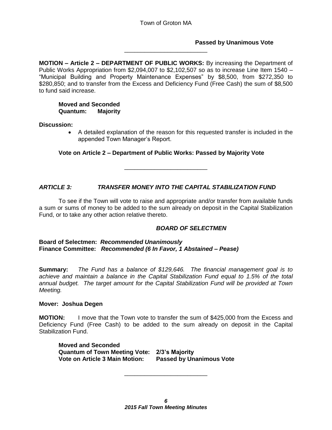\_\_\_\_\_\_\_\_\_\_\_\_\_\_\_\_\_\_\_\_\_\_\_\_\_

#### **Passed by Unanimous Vote**

**MOTION – Article 2 – DEPARTMENT OF PUBLIC WORKS:** By increasing the Department of Public Works Appropriation from \$2,094,007 to \$2,102,507 so as to increase Line Item 1540 – "Municipal Building and Property Maintenance Expenses" by \$8,500, from \$272,350 to \$280,850; and to transfer from the Excess and Deficiency Fund (Free Cash) the sum of \$8,500 to fund said increase.

#### **Moved and Seconded Quantum: Majority**

#### **Discussion:**

 A detailed explanation of the reason for this requested transfer is included in the appended Town Manager's Report.

#### **Vote on Article 2 – Department of Public Works: Passed by Majority Vote**

\_\_\_\_\_\_\_\_\_\_\_\_\_\_\_\_\_\_\_\_\_\_\_\_\_

#### *ARTICLE 3: TRANSFER MONEY INTO THE CAPITAL STABILIZATION FUND*

To see if the Town will vote to raise and appropriate and/or transfer from available funds a sum or sums of money to be added to the sum already on deposit in the Capital Stabilization Fund, or to take any other action relative thereto.

#### *BOARD OF SELECTMEN*

**Board of Selectmen:** *Recommended Unanimously* **Finance Committee:** *Recommended (6 In Favor, 1 Abstained – Pease)*

**Summary:** *The Fund has a balance of \$129,646. The financial management goal is to achieve and maintain a balance in the Capital Stabilization Fund equal to 1.5% of the total annual budget. The target amount for the Capital Stabilization Fund will be provided at Town Meeting.*

#### **Mover: Joshua Degen**

**MOTION:** I move that the Town vote to transfer the sum of \$425,000 from the Excess and Deficiency Fund (Free Cash) to be added to the sum already on deposit in the Capital Stabilization Fund.

**Moved and Seconded Quantum of Town Meeting Vote: 2/3's Majority Vote on Article 3 Main Motion: Passed by Unanimous Vote**

\_\_\_\_\_\_\_\_\_\_\_\_\_\_\_\_\_\_\_\_\_\_\_\_\_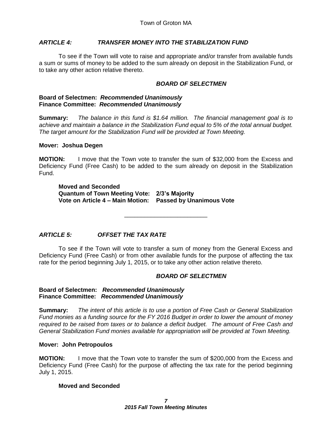#### *ARTICLE 4: TRANSFER MONEY INTO THE STABILIZATION FUND*

To see if the Town will vote to raise and appropriate and/or transfer from available funds a sum or sums of money to be added to the sum already on deposit in the Stabilization Fund, or to take any other action relative thereto.

#### *BOARD OF SELECTMEN*

#### **Board of Selectmen:** *Recommended Unanimously* **Finance Committee:** *Recommended Unanimously*

**Summary:** *The balance in this fund is \$1.64 million. The financial management goal is to achieve and maintain a balance in the Stabilization Fund equal to 5% of the total annual budget. The target amount for the Stabilization Fund will be provided at Town Meeting.*

#### **Mover: Joshua Degen**

**MOTION:** I move that the Town vote to transfer the sum of \$32,000 from the Excess and Deficiency Fund (Free Cash) to be added to the sum already on deposit in the Stabilization Fund.

**Moved and Seconded Quantum of Town Meeting Vote: 2/3's Majority Vote on Article 4 – Main Motion: Passed by Unanimous Vote**

### *ARTICLE 5: OFFSET THE TAX RATE*

To see if the Town will vote to transfer a sum of money from the General Excess and Deficiency Fund (Free Cash) or from other available funds for the purpose of affecting the tax rate for the period beginning July 1, 2015, or to take any other action relative thereto.

\_\_\_\_\_\_\_\_\_\_\_\_\_\_\_\_\_\_\_\_\_\_\_\_\_

#### *BOARD OF SELECTMEN*

#### **Board of Selectmen:** *Recommended Unanimously* **Finance Committee:** *Recommended Unanimously*

**Summary:** *The intent of this article is to use a portion of Free Cash or General Stabilization Fund monies as a funding source for the FY 2016 Budget in order to lower the amount of money required to be raised from taxes or to balance a deficit budget. The amount of Free Cash and General Stabilization Fund monies available for appropriation will be provided at Town Meeting.*

#### **Mover: John Petropoulos**

**MOTION:** I move that the Town vote to transfer the sum of \$200,000 from the Excess and Deficiency Fund (Free Cash) for the purpose of affecting the tax rate for the period beginning July 1, 2015.

#### **Moved and Seconded**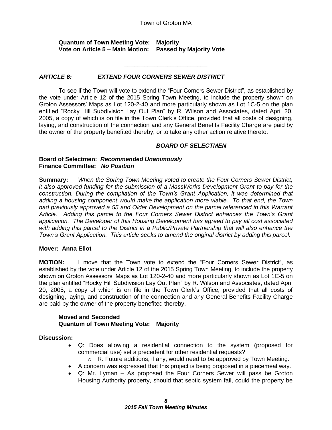#### Town of Groton MA

\_\_\_\_\_\_\_\_\_\_\_\_\_\_\_\_\_\_\_\_\_\_\_\_\_

#### **Quantum of Town Meeting Vote: Majority Vote on Article 5 – Main Motion: Passed by Majority Vote**

#### *ARTICLE 6: EXTEND FOUR CORNERS SEWER DISTRICT*

To see if the Town will vote to extend the "Four Corners Sewer District", as established by the vote under Article 12 of the 2015 Spring Town Meeting, to include the property shown on Groton Assessors' Maps as Lot 120-2-40 and more particularly shown as Lot 1C-5 on the plan entitled "Rocky Hill Subdivision Lay Out Plan" by R. Wilson and Associates, dated April 20, 2005, a copy of which is on file in the Town Clerk's Office, provided that all costs of designing, laying, and construction of the connection and any General Benefits Facility Charge are paid by the owner of the property benefited thereby, or to take any other action relative thereto.

#### *BOARD OF SELECTMEN*

#### **Board of Selectmen:** *Recommended Unanimously* **Finance Committee:** *No Position*

**Summary:** *When the Spring Town Meeting voted to create the Four Corners Sewer District, it also approved funding for the submission of a MassWorks Development Grant to pay for the construction. During the compilation of the Town's Grant Application, it was determined that adding a housing component would make the application more viable. To that end, the Town had previously approved a 55 and Older Development on the parcel referenced in this Warrant Article. Adding this parcel to the Four Corners Sewer District enhances the Town's Grant application. The Developer of this Housing Development has agreed to pay all cost associated with adding this parcel to the District in a Public/Private Partnership that will also enhance the Town's Grant Application. This article seeks to amend the original district by adding this parcel.*

#### **Mover: Anna Eliot**

**MOTION:** I move that the Town vote to extend the "Four Corners Sewer District", as established by the vote under Article 12 of the 2015 Spring Town Meeting, to include the property shown on Groton Assessors' Maps as Lot 120-2-40 and more particularly shown as Lot 1C-5 on the plan entitled "Rocky Hill Subdivision Lay Out Plan" by R. Wilson and Associates, dated April 20, 2005, a copy of which is on file in the Town Clerk's Office, provided that all costs of designing, laying, and construction of the connection and any General Benefits Facility Charge are paid by the owner of the property benefited thereby.

#### **Moved and Seconded Quantum of Town Meeting Vote: Majority**

#### **Discussion:**

- Q: Does allowing a residential connection to the system (proposed for commercial use) set a precedent for other residential requests?
	- $\circ$  R: Future additions, if any, would need to be approved by Town Meeting.
- A concern was expressed that this project is being proposed in a piecemeal way.
- Q: Mr. Lyman As proposed the Four Corners Sewer will pass be Groton Housing Authority property, should that septic system fail, could the property be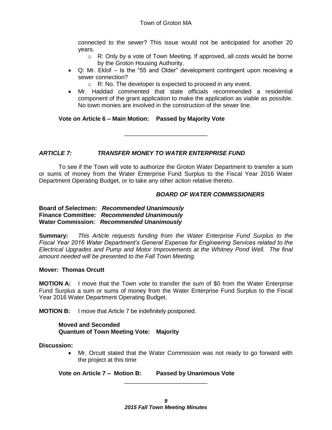connected to the sewer? This issue would not be anticipated for another 20 years.

- $\circ$  R: Only by a vote of Town Meeting. If approved, all costs would be borne by the Groton Housing Authority.
- Q: Mr. Eklof Is the "55 and Older" development contingent upon receiving a sewer connection?
	- o R: No. The developer is expected to proceed in any event.
- Mr. Haddad commented that state officials recommended a residential component of the grant application to make the application as viable as possible. No town monies are involved in the construction of the sewer line.

#### **Vote on Article 6 – Main Motion: Passed by Majority Vote**

#### *ARTICLE 7: TRANSFER MONEY TO WATER ENTERPRISE FUND*

To see if the Town will vote to authorize the Groton Water Department to transfer a sum or sums of money from the Water Enterprise Fund Surplus to the Fiscal Year 2016 Water Department Operating Budget, or to take any other action relative thereto.

\_\_\_\_\_\_\_\_\_\_\_\_\_\_\_\_\_\_\_\_\_\_\_\_\_

#### *BOARD OF WATER COMMISSIONERS*

#### **Board of Selectmen:** *Recommended Unanimously* **Finance Committee:** *Recommended Unanimously* **Water Commission:** *Recommended Unanimously*

**Summary:** *This Article requests funding from the Water Enterprise Fund Surplus to the Fiscal Year 2016 Water Department's General Expense for Engineering Services related to the Electrical Upgrades and Pump and Motor Improvements at the Whitney Pond Well. The final amount needed will be presented to the Fall Town Meeting.*

#### **Mover: Thomas Orcutt**

**MOTION A:** I move that the Town vote to transfer the sum of \$0 from the Water Enterprise Fund Surplus a sum or sums of money from the Water Enterprise Fund Surplus to the Fiscal Year 2016 Water Department Operating Budget.

**MOTION B:** I move that Article 7 be indefinitely postponed.

#### **Moved and Seconded Quantum of Town Meeting Vote: Majority**

**Discussion:**

 Mr. Orcutt stated that the Water Commission was not ready to go forward with the project at this time

**Vote on Article 7 – Motion B: Passed by Unanimous Vote**

\_\_\_\_\_\_\_\_\_\_\_\_\_\_\_\_\_\_\_\_\_\_\_\_\_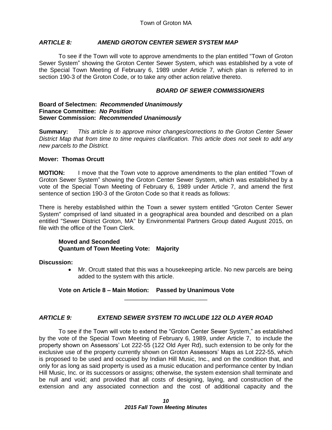#### *ARTICLE 8: AMEND GROTON CENTER SEWER SYSTEM MAP*

To see if the Town will vote to approve amendments to the plan entitled "Town of Groton Sewer System" showing the Groton Center Sewer System, which was established by a vote of the Special Town Meeting of February 6, 1989 under Article 7, which plan is referred to in section 190-3 of the Groton Code, or to take any other action relative thereto.

#### *BOARD OF SEWER COMMISSIONERS*

#### **Board of Selectmen:** *Recommended Unanimously* **Finance Committee:** *No Position* **Sewer Commission:** *Recommended Unanimously*

**Summary:** *This article is to approve minor changes/corrections to the Groton Center Sewer District Map that from time to time requires clarification. This article does not seek to add any new parcels to the District.*

#### **Mover: Thomas Orcutt**

**MOTION:** I move that the Town vote to approve amendments to the plan entitled "Town of Groton Sewer System" showing the Groton Center Sewer System, which was established by a vote of the Special Town Meeting of February 6, 1989 under Article 7, and amend the first sentence of section 190-3 of the Groton Code so that it reads as follows:

There is hereby established within the Town a sewer system entitled "Groton Center Sewer System" comprised of land situated in a geographical area bounded and described on a plan entitled "Sewer District Groton, MA" by Environmental Partners Group dated August 2015, on file with the office of the Town Clerk.

#### **Moved and Seconded Quantum of Town Meeting Vote: Majority**

#### **Discussion:**

 Mr. Orcutt stated that this was a housekeeping article. No new parcels are being added to the system with this article.

#### **Vote on Article 8 – Main Motion: Passed by Unanimous Vote**

#### *ARTICLE 9: EXTEND SEWER SYSTEM TO INCLUDE 122 OLD AYER ROAD*

\_\_\_\_\_\_\_\_\_\_\_\_\_\_\_\_\_\_\_\_\_\_\_\_\_

To see if the Town will vote to extend the "Groton Center Sewer System," as established by the vote of the Special Town Meeting of February 6, 1989, under Article 7, to include the property shown on Assessors' Lot 222-55 (122 Old Ayer Rd), such extension to be only for the exclusive use of the property currently shown on Groton Assessors' Maps as Lot 222-55, which is proposed to be used and occupied by Indian Hill Music, Inc., and on the condition that, and only for as long as said property is used as a music education and performance center by Indian Hill Music, Inc. or its successors or assigns; otherwise, the system extension shall terminate and be null and void; and provided that all costs of designing, laying, and construction of the extension and any associated connection and the cost of additional capacity and the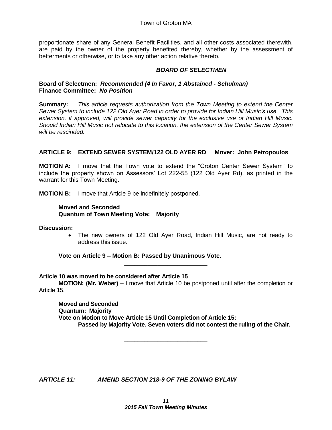proportionate share of any General Benefit Facilities, and all other costs associated therewith, are paid by the owner of the property benefited thereby, whether by the assessment of betterments or otherwise, or to take any other action relative thereto.

#### *BOARD OF SELECTMEN*

#### **Board of Selectmen:** *Recommended (4 In Favor, 1 Abstained - Schulman)* **Finance Committee:** *No Position*

**Summary:** *This article requests authorization from the Town Meeting to extend the Center Sewer System to include 122 Old Ayer Road in order to provide for Indian Hill Music's use. This extension, if approved, will provide sewer capacity for the exclusive use of Indian Hill Music. Should Indian Hill Music not relocate to this location, the extension of the Center Sewer System will be rescinded.*

#### **ARTICLE 9: EXTEND SEWER SYSTEM/122 OLD AYER RD Mover: John Petropoulos**

**MOTION A:** I move that the Town vote to extend the "Groton Center Sewer System" to include the property shown on Assessors' Lot 222-55 (122 Old Ayer Rd), as printed in the warrant for this Town Meeting.

**MOTION B:** I move that Article 9 be indefinitely postponed.

#### **Moved and Seconded Quantum of Town Meeting Vote: Majority**

**Discussion:**

 The new owners of 122 Old Ayer Road, Indian Hill Music, are not ready to address this issue.

**Vote on Article 9 – Motion B: Passed by Unanimous Vote.**

#### **Article 10 was moved to be considered after Article 15**

**MOTION: (Mr. Weber)** – I move that Article 10 be postponed until after the completion or Article 15.

\_\_\_\_\_\_\_\_\_\_\_\_\_\_\_\_\_\_\_\_\_\_\_\_\_

\_\_\_\_\_\_\_\_\_\_\_\_\_\_\_\_\_\_\_\_\_\_\_\_\_

**Moved and Seconded Quantum: Majority Vote on Motion to Move Article 15 Until Completion of Article 15: Passed by Majority Vote. Seven voters did not contest the ruling of the Chair.**

*ARTICLE 11: AMEND SECTION 218-9 OF THE ZONING BYLAW*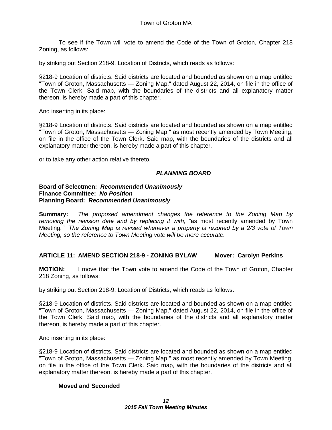To see if the Town will vote to amend the Code of the Town of Groton, Chapter 218 Zoning, as follows:

by striking out Section 218-9, Location of Districts, which reads as follows:

§218-9 Location of districts. Said districts are located and bounded as shown on a map entitled "Town of Groton, Massachusetts — Zoning Map," dated August 22, 2014, on file in the office of the Town Clerk. Said map, with the boundaries of the districts and all explanatory matter thereon, is hereby made a part of this chapter.

And inserting in its place:

§218-9 Location of districts. Said districts are located and bounded as shown on a map entitled "Town of Groton, Massachusetts — Zoning Map," as most recently amended by Town Meeting, on file in the office of the Town Clerk. Said map, with the boundaries of the districts and all explanatory matter thereon, is hereby made a part of this chapter.

or to take any other action relative thereto.

#### *PLANNING BOARD*

#### **Board of Selectmen:** *Recommended Unanimously* **Finance Committee:** *No Position* **Planning Board:** *Recommended Unanimously*

**Summary:** *The proposed amendment changes the reference to the Zoning Map by removing the revision date and by replacing it with, "*as most recently amended by Town Meeting*." The Zoning Map is revised whenever a property is rezoned by a 2/3 vote of Town Meeting, so the reference to Town Meeting vote will be more accurate.* 

#### **ARTICLE 11: AMEND SECTION 218-9 - ZONING BYLAW Mover: Carolyn Perkins**

**MOTION:** I move that the Town vote to amend the Code of the Town of Groton, Chapter 218 Zoning, as follows:

by striking out Section 218-9, Location of Districts, which reads as follows:

§218-9 Location of districts. Said districts are located and bounded as shown on a map entitled "Town of Groton, Massachusetts — Zoning Map," dated August 22, 2014, on file in the office of the Town Clerk. Said map, with the boundaries of the districts and all explanatory matter thereon, is hereby made a part of this chapter.

And inserting in its place:

§218-9 Location of districts. Said districts are located and bounded as shown on a map entitled "Town of Groton, Massachusetts — Zoning Map," as most recently amended by Town Meeting, on file in the office of the Town Clerk. Said map, with the boundaries of the districts and all explanatory matter thereon, is hereby made a part of this chapter.

#### **Moved and Seconded**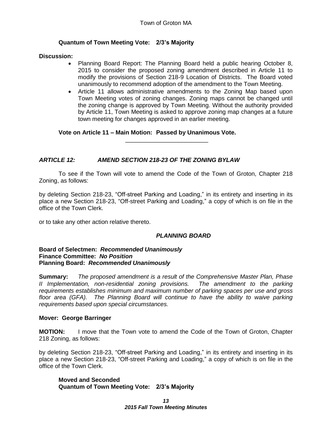#### **Quantum of Town Meeting Vote: 2/3's Majority**

#### **Discussion:**

- Planning Board Report: The Planning Board held a public hearing October 8, 2015 to consider the proposed zoning amendment described in Article 11 to modify the provisions of Section 218-9 Location of Districts. The Board voted unanimously to recommend adoption of the amendment to the Town Meeting.
- Article 11 allows administrative amendments to the Zoning Map based upon Town Meeting votes of zoning changes. Zoning maps cannot be changed until the zoning change is approved by Town Meeting. Without the authority provided by Article 11, Town Meeting is asked to approve zoning map changes at a future town meeting for changes approved in an earlier meeting.

**Vote on Article 11 – Main Motion: Passed by Unanimous Vote.**

### *ARTICLE 12: AMEND SECTION 218-23 OF THE ZONING BYLAW*

To see if the Town will vote to amend the Code of the Town of Groton, Chapter 218 Zoning, as follows:

\_\_\_\_\_\_\_\_\_\_\_\_\_\_\_\_\_\_\_\_\_\_\_\_\_

by deleting Section 218-23, "Off-street Parking and Loading," in its entirety and inserting in its place a new Section 218-23, "Off-street Parking and Loading," a copy of which is on file in the office of the Town Clerk.

or to take any other action relative thereto.

#### *PLANNING BOARD*

#### **Board of Selectmen:** *Recommended Unanimously* **Finance Committee:** *No Position* **Planning Board:** *Recommended Unanimously*

**Summary:** *The proposed amendment is a result of the Comprehensive Master Plan, Phase II Implementation, non-residential zoning provisions. The amendment to the parking requirements establishes minimum and maximum number of parking spaces per use and gross floor area (GFA). The Planning Board will continue to have the ability to waive parking requirements based upon special circumstances.*

#### **Mover: George Barringer**

**MOTION:** I move that the Town vote to amend the Code of the Town of Groton, Chapter 218 Zoning, as follows:

by deleting Section 218-23, "Off-street Parking and Loading," in its entirety and inserting in its place a new Section 218-23, "Off-street Parking and Loading," a copy of which is on file in the office of the Town Clerk.

**Moved and Seconded Quantum of Town Meeting Vote: 2/3's Majority**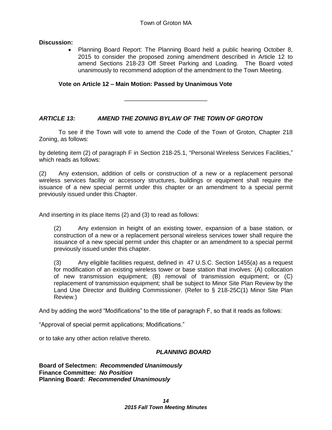#### **Discussion:**

 Planning Board Report: The Planning Board held a public hearing October 8, 2015 to consider the proposed zoning amendment described in Article 12 to amend Sections 218-23 Off Street Parking and Loading. The Board voted unanimously to recommend adoption of the amendment to the Town Meeting.

#### **Vote on Article 12 – Main Motion: Passed by Unanimous Vote**

\_\_\_\_\_\_\_\_\_\_\_\_\_\_\_\_\_\_\_\_\_\_\_\_\_

#### *ARTICLE 13: AMEND THE ZONING BYLAW OF THE TOWN OF GROTON*

To see if the Town will vote to amend the Code of the Town of Groton, Chapter 218 Zoning, as follows:

by deleting item (2) of paragraph F in Section 218-25.1, "Personal Wireless Services Facilities," which reads as follows:

(2) Any extension, addition of cells or construction of a new or a replacement personal wireless services facility or accessory structures, buildings or equipment shall require the issuance of a new special permit under this chapter or an amendment to a special permit previously issued under this Chapter.

And inserting in its place Items (2) and (3) to read as follows:

(2) Any extension in height of an existing tower, expansion of a base station, or construction of a new or a replacement personal wireless services tower shall require the issuance of a new special permit under this chapter or an amendment to a special permit previously issued under this chapter.

(3) Any eligible facilities request, defined in 47 U.S.C. Section 1455(a) as a request for modification of an existing wireless tower or base station that involves: (A) collocation of new transmission equipment; (B) removal of transmission equipment; or (C) replacement of transmission equipment; shall be subject to Minor Site Plan Review by the Land Use Director and Building Commissioner. (Refer to § 218-25C(1) Minor Site Plan Review.)

And by adding the word "Modifications" to the title of paragraph F, so that it reads as follows:

"Approval of special permit applications; Modifications."

or to take any other action relative thereto.

#### *PLANNING BOARD*

**Board of Selectmen:** *Recommended Unanimously* **Finance Committee:** *No Position* **Planning Board:** *Recommended Unanimously*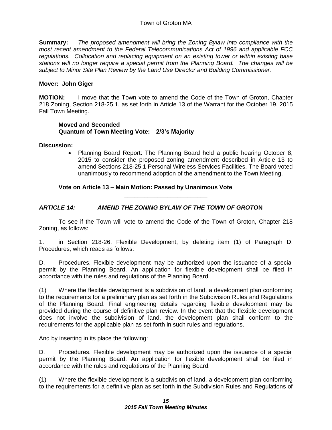**Summary:** *The proposed amendment will bring the Zoning Bylaw into compliance with the most recent amendment to the Federal Telecommunications Act of 1996 and applicable FCC regulations. Collocation and replacing equipment on an existing tower or within existing base stations will no longer require a special permit from the Planning Board. The changes will be subject to Minor Site Plan Review by the Land Use Director and Building Commissioner.*

#### **Mover: John Giger**

**MOTION:** I move that the Town vote to amend the Code of the Town of Groton, Chapter 218 Zoning, Section 218-25.1, as set forth in Article 13 of the Warrant for the October 19, 2015 Fall Town Meeting.

#### **Moved and Seconded Quantum of Town Meeting Vote: 2/3's Majority**

#### **Discussion:**

 Planning Board Report: The Planning Board held a public hearing October 8, 2015 to consider the proposed zoning amendment described in Article 13 to amend Sections 218-25.1 Personal Wireless Services Facilities. The Board voted unanimously to recommend adoption of the amendment to the Town Meeting.

#### **Vote on Article 13 – Main Motion: Passed by Unanimous Vote**

#### *ARTICLE 14: AMEND THE ZONING BYLAW OF THE TOWN OF GROTO***N**

To see if the Town will vote to amend the Code of the Town of Groton, Chapter 218 Zoning, as follows:

\_\_\_\_\_\_\_\_\_\_\_\_\_\_\_\_\_\_\_\_\_\_\_\_\_

1. in Section 218-26, Flexible Development, by deleting item (1) of Paragraph D, Procedures, which reads as follows:

D. Procedures. Flexible development may be authorized upon the issuance of a special permit by the Planning Board. An application for flexible development shall be filed in accordance with the rules and regulations of the Planning Board.

(1) Where the flexible development is a subdivision of land, a development plan conforming to the requirements for a preliminary plan as set forth in the Subdivision Rules and Regulations of the Planning Board. Final engineering details regarding flexible development may be provided during the course of definitive plan review. In the event that the flexible development does not involve the subdivision of land, the development plan shall conform to the requirements for the applicable plan as set forth in such rules and regulations.

And by inserting in its place the following:

D. Procedures. Flexible development may be authorized upon the issuance of a special permit by the Planning Board. An application for flexible development shall be filed in accordance with the rules and regulations of the Planning Board.

(1) Where the flexible development is a subdivision of land, a development plan conforming to the requirements for a definitive plan as set forth in the Subdivision Rules and Regulations of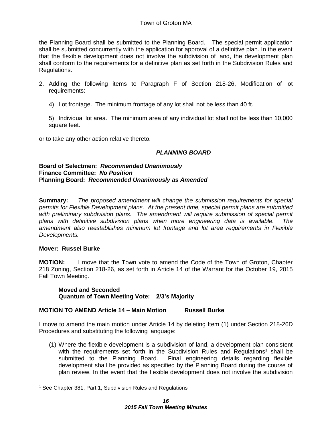the Planning Board shall be submitted to the Planning Board. The special permit application shall be submitted concurrently with the application for approval of a definitive plan. In the event that the flexible development does not involve the subdivision of land, the development plan shall conform to the requirements for a definitive plan as set forth in the Subdivision Rules and Regulations.

- 2. Adding the following items to Paragraph F of Section 218-26, Modification of lot requirements:
	- 4) Lot frontage. The minimum frontage of any lot shall not be less than 40 ft.

5) Individual lot area. The minimum area of any individual lot shall not be less than 10,000 square feet.

or to take any other action relative thereto.

#### *PLANNING BOARD*

#### **Board of Selectmen:** *Recommended Unanimously* **Finance Committee:** *No Position* **Planning Board:** *Recommended Unanimously as Amended*

**Summary:** *The proposed amendment will change the submission requirements for special permits for Flexible Development plans. At the present time, special permit plans are submitted with preliminary subdivision plans. The amendment will require submission of special permit plans with definitive subdivision plans when more engineering data is available. The amendment also reestablishes minimum lot frontage and lot area requirements in Flexible Developments.*

#### **Mover: Russel Burke**

**MOTION:** I move that the Town vote to amend the Code of the Town of Groton, Chapter 218 Zoning, Section 218-26, as set forth in Article 14 of the Warrant for the October 19, 2015 Fall Town Meeting.

**Moved and Seconded Quantum of Town Meeting Vote: 2/3's Majority**

#### **MOTION TO AMEND Article 14 – Main Motion Russell Burke**

I move to amend the main motion under Article 14 by deleting Item (1) under Section 218-26D Procedures and substituting the following language:

 (1) Where the flexible development is a subdivision of land, a development plan consistent with the requirements set forth in the Subdivision Rules and Regulations<sup>1</sup> shall be submitted to the Planning Board. Final engineering details regarding flexible development shall be provided as specified by the Planning Board during the course of plan review. In the event that the flexible development does not involve the subdivision

<sup>1</sup> See Chapter 381, Part 1, Subdivision Rules and Regulations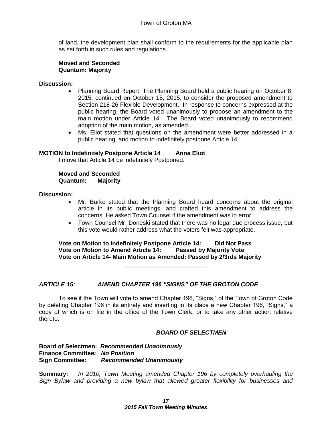of land, the development plan shall conform to the requirements for the applicable plan as set forth in such rules and regulations.

#### **Moved and Seconded Quantum: Majority**

#### **Discussion:**

- Planning Board Report: The Planning Board held a public hearing on October 8, 2015, continued on October 15, 2015, to consider the proposed amendment to Section 218-26 Flexible Development. In response to concerns expressed at the public hearing, the Board voted unanimously to propose an amendment to the main motion under Article 14. The Board voted unanimously to recommend adoption of the main motion, as amended.
- Ms. Eliot stated that questions on the amendment were better addressed in a public hearing, and motion to indefinitely postpone Article 14.

#### **MOTION to Indefinitely Postpone Article 14 Anna Eliot**

I move that Article 14 be indefinitely Postponed.

**Moved and Seconded Quantum: Majority**

**Discussion:**

- Mr. Burke stated that the Planning Board heard concerns about the original article in its public meetings, and crafted this amendment to address the concerns. He asked Town Counsel if the amendment was in error.
- Town Counsel Mr. Doneski stated that there was no legal due process issue, but this vote would rather address what the voters felt was appropriate.

**Vote on Motion to Indefinitely Postpone Article 14: Did Not Pass Vote on Motion to Amend Article 14: Passed by Majority Vote Vote on Article 14- Main Motion as Amended: Passed by 2/3rds Majority** 

\_\_\_\_\_\_\_\_\_\_\_\_\_\_\_\_\_\_\_\_\_\_\_\_\_

#### *ARTICLE 15: AMEND CHAPTER 196 "SIGNS" OF THE GROTON CODE*

To see if the Town will vote to amend Chapter 196, "Signs," of the Town of Groton Code by deleting Chapter 196 in its entirety and inserting in its place a new Chapter 196, "Signs," a copy of which is on file in the office of the Town Clerk, or to take any other action relative thereto.

#### *BOARD OF SELECTMEN*

#### **Board of Selectmen:** *Recommended Unanimously* **Finance Committee:** *No Position* **Sign Committee:** *Recommended Unanimously*

**Summary:** *In 2010, Town Meeting amended Chapter 196 by completely overhauling the Sign Bylaw and providing a new bylaw that allowed greater flexibility for businesses and*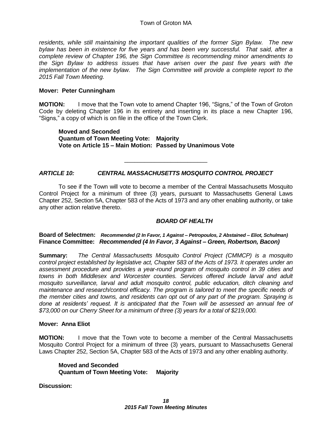*residents, while still maintaining the important qualities of the former Sign Bylaw. The new bylaw has been in existence for five years and has been very successful. That said, after a complete review of Chapter 196, the Sign Committee is recommending minor amendments to the Sign Bylaw to address issues that have arisen over the past five years with the implementation of the new bylaw. The Sign Committee will provide a complete report to the 2015 Fall Town Meeting.*

#### **Mover: Peter Cunningham**

**MOTION:** I move that the Town vote to amend Chapter 196, "Signs," of the Town of Groton Code by deleting Chapter 196 in its entirety and inserting in its place a new Chapter 196, "Signs," a copy of which is on file in the office of the Town Clerk.

**Moved and Seconded Quantum of Town Meeting Vote: Majority Vote on Article 15 – Main Motion: Passed by Unanimous Vote** 

#### *ARTICLE 10: CENTRAL MASSACHUSETTS MOSQUITO CONTROL PROJECT*

To see if the Town will vote to become a member of the Central Massachusetts Mosquito Control Project for a minimum of three (3) years, pursuant to Massachusetts General Laws Chapter 252, Section 5A, Chapter 583 of the Acts of 1973 and any other enabling authority, or take any other action relative thereto.

\_\_\_\_\_\_\_\_\_\_\_\_\_\_\_\_\_\_\_\_\_\_\_\_\_

#### *BOARD OF HEALTH*

**Board of Selectmen:** *Recommended (2 In Favor, 1 Against – Petropoulos, 2 Abstained – Eliot, Schulman)* **Finance Committee:** *Recommended (4 In Favor, 3 Against – Green, Robertson, Bacon)*

**Summary:** *The Central Massachusetts Mosquito Control Project (CMMCP) is a mosquito control project established by legislative act, Chapter 583 of the Acts of 1973. It operates under an assessment procedure and provides a year-round program of mosquito control in 39 cities and towns in both Middlesex and Worcester counties. Services offered include larval and adult mosquito surveillance, larval and adult mosquito control, public education, ditch cleaning and maintenance and research/control efficacy. The program is tailored to meet the specific needs of the member cities and towns, and residents can opt out of any part of the program. Spraying is done at residents' request. It is anticipated that the Town will be assessed an annual fee of \$73,000 on our Cherry Sheet for a minimum of three (3) years for a total of \$219,000.* 

#### **Mover: Anna Eliot**

**MOTION:** I move that the Town vote to become a member of the Central Massachusetts Mosquito Control Project for a minimum of three (3) years, pursuant to Massachusetts General Laws Chapter 252, Section 5A, Chapter 583 of the Acts of 1973 and any other enabling authority.

**Moved and Seconded Quantum of Town Meeting Vote: Majority**

**Discussion:**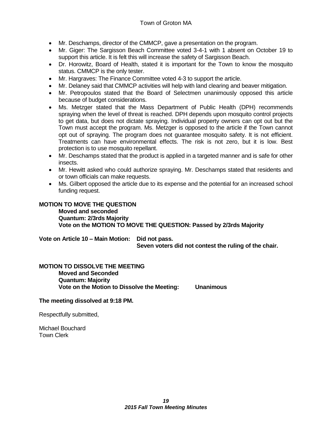#### Town of Groton MA

- Mr. Deschamps, director of the CMMCP, gave a presentation on the program.
- Mr. Giger: The Sargisson Beach Committee voted 3-4-1 with 1 absent on October 19 to support this article. It is felt this will increase the safety of Sargisson Beach.
- Dr. Horowitz, Board of Health, stated it is important for the Town to know the mosquito status. CMMCP is the only tester.
- Mr. Hargraves: The Finance Committee voted 4-3 to support the article.
- Mr. Delaney said that CMMCP activities will help with land clearing and beaver mitigation.
- Mr. Petropoulos stated that the Board of Selectmen unanimously opposed this article because of budget considerations.
- Ms. Metzger stated that the Mass Department of Public Health (DPH) recommends spraying when the level of threat is reached. DPH depends upon mosquito control projects to get data, but does not dictate spraying. Individual property owners can opt out but the Town must accept the program. Ms. Metzger is opposed to the article if the Town cannot opt out of spraying. The program does not guarantee mosquito safety. It is not efficient. Treatments can have environmental effects. The risk is not zero, but it is low. Best protection is to use mosquito repellant.
- Mr. Deschamps stated that the product is applied in a targeted manner and is safe for other insects.
- Mr. Hewitt asked who could authorize spraying. Mr. Deschamps stated that residents and or town officials can make requests.
- Ms. Gilbert opposed the article due to its expense and the potential for an increased school funding request.

#### **MOTION TO MOVE THE QUESTION Moved and seconded Quantum: 2/3rds Majority Vote on the MOTION TO MOVE THE QUESTION: Passed by 2/3rds Majority**

**Vote on Article 10 – Main Motion: Did not pass. Seven voters did not contest the ruling of the chair.**

#### **MOTION TO DISSOLVE THE MEETING Moved and Seconded Quantum: Majority Vote on the Motion to Dissolve the Meeting: Unanimous**

#### **The meeting dissolved at 9:18 PM.**

Respectfully submitted,

Michael Bouchard Town Clerk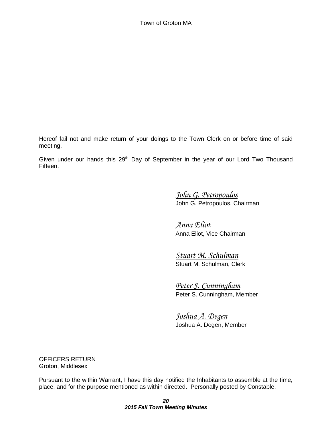Hereof fail not and make return of your doings to the Town Clerk on or before time of said meeting.

Given under our hands this  $29<sup>th</sup>$  Day of September in the year of our Lord Two Thousand Fifteen.

> *John G. Petropoulos* John G. Petropoulos, Chairman

*Anna Eliot* Anna Eliot, Vice Chairman

*Stuart M. Schulman* Stuart M. Schulman, Clerk

*Peter S. Cunningham* Peter S. Cunningham, Member

*Joshua A. Degen* Joshua A. Degen, Member

OFFICERS RETURN Groton, Middlesex

Pursuant to the within Warrant, I have this day notified the Inhabitants to assemble at the time, place, and for the purpose mentioned as within directed. Personally posted by Constable.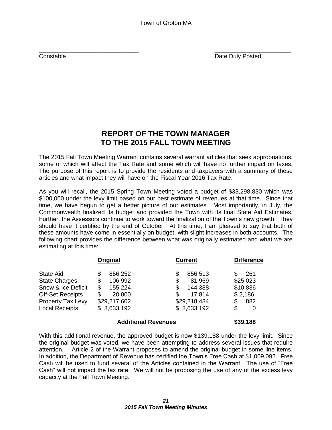$\overline{\phantom{a}}$  , and the contract of the contract of the contract of the contract of the contract of the contract of the contract of the contract of the contract of the contract of the contract of the contract of the contrac **Constable Constable Constable Constable Constable Constable Constable Constable Constable Constable Constable Constable Constable Constable Constable Constable Constable Constable Constable Constable Constable Constable C** 

## **REPORT OF THE TOWN MANAGER TO THE 2015 FALL TOWN MEETING**

The 2015 Fall Town Meeting Warrant contains several warrant articles that seek appropriations, some of which will affect the Tax Rate and some which will have no further impact on taxes. The purpose of this report is to provide the residents and taxpayers with a summary of these articles and what impact they will have on the Fiscal Year 2016 Tax Rate.

As you will recall, the 2015 Spring Town Meeting voted a budget of \$33,298,830 which was \$100,000 under the levy limit based on our best estimate of revenues at that time. Since that time, we have begun to get a better picture of our estimates. Most importantly, in July, the Commonwealth finalized its budget and provided the Town with its final State Aid Estimates. Further, the Assessors continue to work toward the finalization of the Town's new growth. They should have it certified by the end of October. At this time, I am pleased to say that both of these amounts have come in essentially on budget, with slight increases in both accounts. The following chart provides the difference between what was originally estimated and what we are estimating at this time:

|                                                                                                                                                | Original                                                                                      | <b>Current</b>                                                                   | <b>Difference</b>                             |
|------------------------------------------------------------------------------------------------------------------------------------------------|-----------------------------------------------------------------------------------------------|----------------------------------------------------------------------------------|-----------------------------------------------|
| <b>State Aid</b><br><b>State Charges</b><br>Snow & Ice Deficit<br><b>Off-Set Receipts</b><br><b>Property Tax Levy</b><br><b>Local Receipts</b> | 856,252<br>\$<br>106,992<br>\$<br>155,224<br>S<br>20,000<br>\$<br>\$29,217,602<br>\$3,633,192 | 856,513<br>81,969<br>\$<br>144,388<br>S<br>17,814<br>\$29,218,484<br>\$3,633,192 | 261<br>\$25,023<br>\$10,836<br>\$2,186<br>882 |
|                                                                                                                                                |                                                                                               |                                                                                  |                                               |

#### **Additional Revenues \$39,188**

With this additional revenue, the approved budget is now \$139,188 under the levy limit. Since the original budget was voted, we have been attempting to address several issues that require attention. Article 2 of the Warrant proposes to amend the original budget in some line items. In addition, the Department of Revenue has certified the Town's Free Cash at \$1,009,092. Free Cash will be used to fund several of the Articles contained in the Warrant. The use of "Free Cash" will not impact the tax rate. We will not be proposing the use of any of the excess levy capacity at the Fall Town Meeting.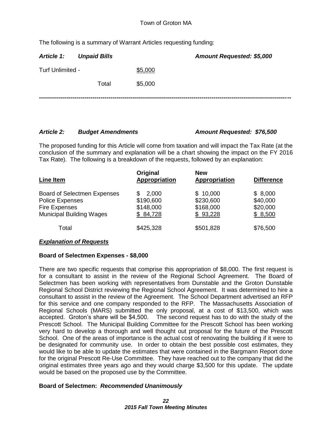The following is a summary of Warrant Articles requesting funding:

| Article 1:       | <b>Unpaid Bills</b> |         | Amount Requested: \$5,000 |
|------------------|---------------------|---------|---------------------------|
| Turf Unlimited - |                     | \$5,000 |                           |
|                  | Total               | \$5,000 |                           |
|                  |                     |         |                           |

#### *Article 2: Budget Amendments Amount Requested: \$76,500*

The proposed funding for this Article will come from taxation and will impact the Tax Rate (at the conclusion of the summary and explanation will be a chart showing the impact on the FY 2016 Tax Rate). The following is a breakdown of the requests, followed by an explanation:

| Line Item                                                                                                               | Original<br><b>Appropriation</b>                 | <b>New</b><br><b>Appropriation</b>             | <b>Difference</b>                          |
|-------------------------------------------------------------------------------------------------------------------------|--------------------------------------------------|------------------------------------------------|--------------------------------------------|
| <b>Board of Selectmen Expenses</b><br><b>Police Expenses</b><br><b>Fire Expenses</b><br><b>Municipal Building Wages</b> | 2,000<br>S<br>\$190,600<br>\$148,000<br>\$84,728 | \$10,000<br>\$230,600<br>\$168,000<br>\$93,228 | \$8,000<br>\$40,000<br>\$20,000<br>\$8,500 |
| Total                                                                                                                   | \$425,328                                        | \$501,828                                      | \$76,500                                   |

#### *Explanation of Requests*

### **Board of Selectmen Expenses - \$8,000**

There are two specific requests that comprise this appropriation of \$8,000. The first request is for a consultant to assist in the review of the Regional School Agreement. The Board of Selectmen has been working with representatives from Dunstable and the Groton Dunstable Regional School District reviewing the Regional School Agreement. It was determined to hire a consultant to assist in the review of the Agreement. The School Department advertised an RFP for this service and one company responded to the RFP. The Massachusetts Association of Regional Schools (MARS) submitted the only proposal, at a cost of \$13,500, which was accepted. Groton's share will be \$4,500. The second request has to do with the study of the Prescott School. The Municipal Building Committee for the Prescott School has been working very hard to develop a thorough and well thought out proposal for the future of the Prescott School. One of the areas of importance is the actual cost of renovating the building if it were to be designated for community use. In order to obtain the best possible cost estimates, they would like to be able to update the estimates that were contained in the Bargmann Report done for the original Prescott Re-Use Committee. They have reached out to the company that did the original estimates three years ago and they would charge \$3,500 for this update. The update would be based on the proposed use by the Committee.

### **Board of Selectmen:** *Recommended Unanimously*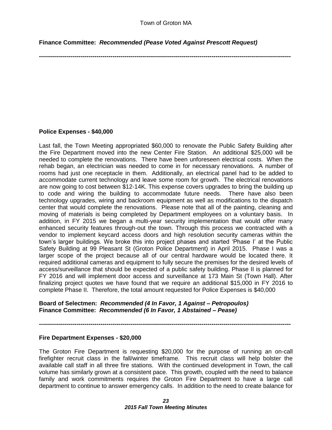**Finance Committee:** *Recommended (Pease Voted Against Prescott Request)*

**-------------------------------------------------------------------------------------------------------------------------------**

#### **Police Expenses - \$40,000**

Last fall, the Town Meeting appropriated \$60,000 to renovate the Public Safety Building after the Fire Department moved into the new Center Fire Station. An additional \$25,000 will be needed to complete the renovations. There have been unforeseen electrical costs. When the rehab began, an electrician was needed to come in for necessary renovations. A number of rooms had just one receptacle in them. Additionally, an electrical panel had to be added to accommodate current technology and leave some room for growth. The electrical renovations are now going to cost between \$12-14K. This expense covers upgrades to bring the building up to code and wiring the building to accommodate future needs. There have also been technology upgrades, wiring and backroom equipment as well as modifications to the dispatch center that would complete the renovations. Please note that all of the painting, cleaning and moving of materials is being completed by Department employees on a voluntary basis. In addition, in FY 2015 we began a multi-year security implementation that would offer many enhanced security features through-out the town. Through this process we contracted with a vendor to implement keycard access doors and high resolution security cameras within the town's larger buildings. We broke this into project phases and started 'Phase I' at the Public Safety Building at 99 Pleasant St (Groton Police Department) in April 2015. Phase I was a larger scope of the project because all of our central hardware would be located there. It required additional cameras and equipment to fully secure the premises for the desired levels of access/surveillance that should be expected of a public safety building. Phase II is planned for FY 2016 and will implement door access and surveillance at 173 Main St (Town Hall). After finalizing project quotes we have found that we require an additional \$15,000 in FY 2016 to complete Phase II. Therefore, the total amount requested for Police Expenses is \$40,000

#### **Board of Selectmen:** *Recommended (4 In Favor, 1 Against – Petropoulos)* **Finance Committee:** *Recommended (6 In Favor, 1 Abstained – Pease)*

**-------------------------------------------------------------------------------------------------------------------------------**

#### **Fire Department Expenses - \$20,000**

The Groton Fire Department is requesting \$20,000 for the purpose of running an on-call firefighter recruit class in the fall/winter timeframe. This recruit class will help bolster the available call staff in all three fire stations. With the continued development in Town, the call volume has similarly grown at a consistent pace. This growth, coupled with the need to balance family and work commitments requires the Groton Fire Department to have a large call department to continue to answer emergency calls. In addition to the need to create balance for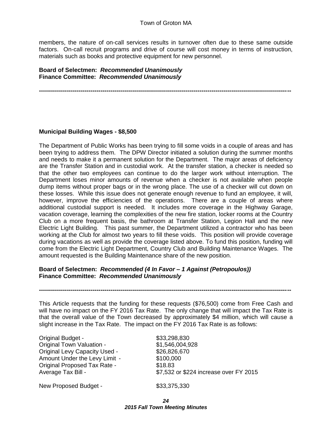members, the nature of on-call services results in turnover often due to these same outside factors. On-call recruit programs and drive of course will cost money in terms of instruction, materials such as books and protective equipment for new personnel.

**Board of Selectmen:** *Recommended Unanimously*  **Finance Committee:** *Recommended Unanimously* 

#### **-------------------------------------------------------------------------------------------------------------------------------**

#### **Municipal Building Wages - \$8,500**

The Department of Public Works has been trying to fill some voids in a couple of areas and has been trying to address them. The DPW Director initiated a solution during the summer months and needs to make it a permanent solution for the Department. The major areas of deficiency are the Transfer Station and in custodial work. At the transfer station, a checker is needed so that the other two employees can continue to do the larger work without interruption. The Department loses minor amounts of revenue when a checker is not available when people dump items without proper bags or in the wrong place. The use of a checker will cut down on these losses. While this issue does not generate enough revenue to fund an employee, it will, however, improve the efficiencies of the operations. There are a couple of areas where additional custodial support is needed. It includes more coverage in the Highway Garage, vacation coverage, learning the complexities of the new fire station, locker rooms at the Country Club on a more frequent basis, the bathroom at Transfer Station, Legion Hall and the new Electric Light Building. This past summer, the Department utilized a contractor who has been working at the Club for almost two years to fill these voids. This position will provide coverage during vacations as well as provide the coverage listed above. To fund this position, funding will come from the Electric Light Department, Country Club and Building Maintenance Wages. The amount requested is the Building Maintenance share of the new position.

#### **Board of Selectmen:** *Recommended (4 In Favor – 1 Against (Petropoulos))* **Finance Committee:** *Recommended Unanimously*

This Article requests that the funding for these requests (\$76,500) come from Free Cash and will have no impact on the FY 2016 Tax Rate. The only change that will impact the Tax Rate is that the overall value of the Town decreased by approximately \$4 million, which will cause a slight increase in the Tax Rate. The impact on the FY 2016 Tax Rate is as follows:

**-------------------------------------------------------------------------------------------------------------------------------**

Original Budget - \$33,298,830 Original Town Valuation - \$1,546,004,928 Original Levy Capacity Used - \$26,826,670 Amount Under the Levy Limit - \$100,000 Original Proposed Tax Rate - \$18.83

Average Tax Bill -  $$7,532$  or \$224 increase over FY 2015

New Proposed Budget - \$33,375,330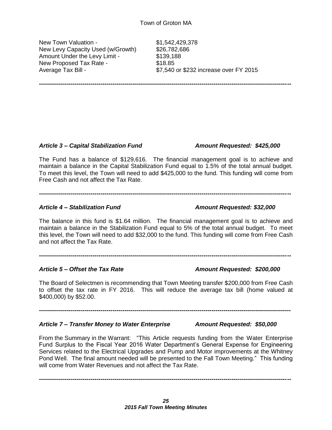**-------------------------------------------------------------------------------------------------------------------------------**

New Town Valuation - \$1,542,429,378 New Levy Capacity Used (w/Growth) \$26,782,686 Amount Under the Levy Limit - \$139,188 New Proposed Tax Rate - \$18.85

Average Tax Bill -  $$7,540$  or \$232 increase over FY 2015

*Article 3 – Capital Stabilization Fund Amount Requested: \$425,000*

The Fund has a balance of \$129,616. The financial management goal is to achieve and maintain a balance in the Capital Stabilization Fund equal to 1.5% of the total annual budget. To meet this level, the Town will need to add \$425,000 to the fund. This funding will come from Free Cash and not affect the Tax Rate.

**-------------------------------------------------------------------------------------------------------------------------------**

#### *Article 4 – Stabilization Fund Amount Requested: \$32,000*

The balance in this fund is \$1.64 million. The financial management goal is to achieve and maintain a balance in the Stabilization Fund equal to 5% of the total annual budget. To meet this level, the Town will need to add \$32,000 to the fund. This funding will come from Free Cash and not affect the Tax Rate.

**-------------------------------------------------------------------------------------------------------------------------------**

#### *Article 5 – Offset the Tax Rate Amount Requested: \$200,000*

The Board of Selectmen is recommending that Town Meeting transfer \$200,000 from Free Cash to offset the tax rate in FY 2016. This will reduce the average tax bill (home valued at \$400,000) by \$52.00.

**-------------------------------------------------------------------------------------------------------------------------------**

#### *Article 7 – Transfer Money to Water Enterprise Amount Requested: \$50,000*

From the Summary in the Warrant: "This Article requests funding from the Water Enterprise Fund Surplus to the Fiscal Year 2016 Water Department's General Expense for Engineering Services related to the Electrical Upgrades and Pump and Motor improvements at the Whitney Pond Well. The final amount needed will be presented to the Fall Town Meeting." This funding will come from Water Revenues and not affect the Tax Rate.

**-------------------------------------------------------------------------------------------------------------------------------**